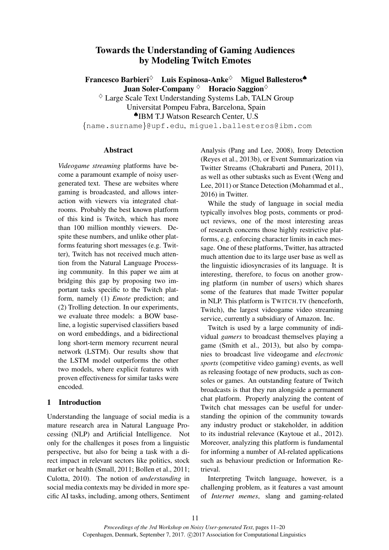# Towards the Understanding of Gaming Audiences by Modeling Twitch Emotes

Francesco Barbieri $\diamond$  Luis Espinosa-Anke $\diamond$  Miguel Ballesteros Juan Soler-Company  $\Diamond$  Horacio Saggion $\Diamond$ 

 $\Diamond$  Large Scale Text Understanding Systems Lab, TALN Group

Universitat Pompeu Fabra, Barcelona, Spain

♠IBM T.J Watson Research Center, U.S

{name.surname}@upf.edu, miguel.ballesteros@ibm.com

### Abstract

*Videogame streaming* platforms have become a paramount example of noisy usergenerated text. These are websites where gaming is broadcasted, and allows interaction with viewers via integrated chatrooms. Probably the best known platform of this kind is Twitch, which has more than 100 million monthly viewers. Despite these numbers, and unlike other platforms featuring short messages (e.g. Twitter), Twitch has not received much attention from the Natural Language Processing community. In this paper we aim at bridging this gap by proposing two important tasks specific to the Twitch platform, namely (1) *Emote* prediction; and (2) Trolling detection. In our experiments, we evaluate three models: a BOW baseline, a logistic supervised classifiers based on word embeddings, and a bidirectional long short-term memory recurrent neural network (LSTM). Our results show that the LSTM model outperforms the other two models, where explicit features with proven effectiveness for similar tasks were encoded.

# 1 Introduction

Understanding the language of social media is a mature research area in Natural Language Processing (NLP) and Artificial Intelligence. Not only for the challenges it poses from a linguistic perspective, but also for being a task with a direct impact in relevant sectors like politics, stock market or health (Small, 2011; Bollen et al., 2011; Culotta, 2010). The notion of *understanding* in social media contexts may be divided in more specific AI tasks, including, among others, Sentiment

Analysis (Pang and Lee, 2008), Irony Detection (Reyes et al., 2013b), or Event Summarization via Twitter Streams (Chakrabarti and Punera, 2011), as well as other subtasks such as Event (Weng and Lee, 2011) or Stance Detection (Mohammad et al., 2016) in Twitter.

While the study of language in social media typically involves blog posts, comments or product reviews, one of the most interesting areas of research concerns those highly restrictive platforms, e.g. enforcing character limits in each message. One of these platforms, Twitter, has attracted much attention due to its large user base as well as the linguistic idiosyncrasies of its language. It is interesting, therefore, to focus on another growing platform (in number of users) which shares some of the features that made Twitter popular in NLP. This platform is TWITCH.TV (henceforth, Twitch), the largest videogame video streaming service, currently a subsidiary of Amazon. Inc.

Twitch is used by a large community of individual *gamers* to broadcast themselves playing a game (Smith et al., 2013), but also by companies to broadcast live videogame and *electronic sports* (competitive video gaming) events, as well as releasing footage of new products, such as consoles or games. An outstanding feature of Twitch broadcasts is that they run alongside a permanent chat platform. Properly analyzing the content of Twitch chat messages can be useful for understanding the opinion of the community towards any industry product or stakeholder, in addition to its industrial relevance (Kaytoue et al., 2012). Moreover, analyzing this platform is fundamental for informing a number of AI-related applications such as behaviour prediction or Information Retrieval.

Interpreting Twitch language, however, is a challenging problem, as it features a vast amount of *Internet memes*, slang and gaming-related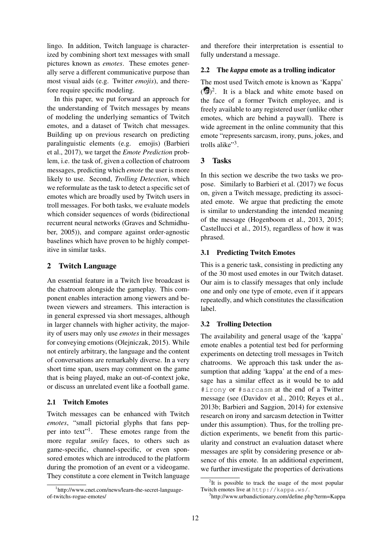lingo. In addition, Twitch language is characterized by combining short text messages with small pictures known as *emotes*. These emotes generally serve a different communicative purpose than most visual aids (e.g. Twitter *emojis*), and therefore require specific modeling.

In this paper, we put forward an approach for the understanding of Twitch messages by means of modeling the underlying semantics of Twitch emotes, and a dataset of Twitch chat messages. Building up on previous research on predicting paralinguistic elements (e.g. emojis) (Barbieri et al., 2017), we target the *Emote Prediction* problem, i.e. the task of, given a collection of chatroom messages, predicting which *emote* the user is more likely to use. Second, *Trolling Detection*, which we reformulate as the task to detect a specific set of emotes which are broadly used by Twitch users in troll messages. For both tasks, we evaluate models which consider sequences of words (bidirectional recurrent neural networks (Graves and Schmidhuber, 2005)), and compare against order-agnostic baselines which have proven to be highly competitive in similar tasks.

## 2 Twitch Language

An essential feature in a Twitch live broadcast is the chatroom alongside the gameplay. This component enables interaction among viewers and between viewers and streamers. This interaction is in general expressed via short messages, although in larger channels with higher activity, the majority of users may only use *emotes* in their messages for conveying emotions (Olejniczak, 2015). While not entirely arbitrary, the language and the content of conversations are remarkably diverse. In a very short time span, users may comment on the game that is being played, make an out-of-context joke, or discuss an unrelated event like a football game.

### 2.1 Twitch Emotes

Twitch messages can be enhanced with Twitch *emotes*, "small pictorial glyphs that fans pepper into text"<sup>1</sup>. These emotes range from the more regular *smiley* faces, to others such as game-specific, channel-specific, or even sponsored emotes which are introduced to the platform during the promotion of an event or a videogame. They constitute a core element in Twitch language

and therefore their interpretation is essential to fully understand a message.

### 2.2 The *kappa* emote as a trolling indicator

The most used Twitch emote is known as 'Kappa'  $(\bullet)^2$ . It is a black and white emote based on the face of a former Twitch employee, and is freely available to any registered user (unlike other emotes, which are behind a paywall). There is wide agreement in the online community that this emote "represents sarcasm, irony, puns, jokes, and trolls alike"<sup>3</sup>.

### 3 Tasks

In this section we describe the two tasks we propose. Similarly to Barbieri et al. (2017) we focus on, given a Twitch message, predicting its associated emote. We argue that predicting the emote is similar to understanding the intended meaning of the message (Hogenboom et al., 2013, 2015; Castellucci et al., 2015), regardless of how it was phrased.

### 3.1 Predicting Twitch Emotes

This is a generic task, consisting in predicting any of the 30 most used emotes in our Twitch dataset. Our aim is to classify messages that only include one and only one type of emote, even if it appears repeatedly, and which constitutes the classification label.

#### 3.2 Trolling Detection

The availability and general usage of the 'kappa' emote enables a potential test bed for performing experiments on detecting troll messages in Twitch chatrooms. We approach this task under the assumption that adding 'kappa' at the end of a message has a similar effect as it would be to add #irony or #sarcasm at the end of a Twitter message (see (Davidov et al., 2010; Reyes et al., 2013b; Barbieri and Saggion, 2014) for extensive research on irony and sarcasm detection in Twitter under this assumption). Thus, for the trolling prediction experiments, we benefit from this particularity and construct an evaluation dataset where messages are split by considering presence or absence of this emote. In an additional experiment, we further investigate the properties of derivations

<sup>1</sup> http://www.cnet.com/news/learn-the-secret-languageof-twitchs-rogue-emotes/

<sup>&</sup>lt;sup>2</sup>It is possible to track the usage of the most popular Twitch emotes live at http://kappa.ws/.

<sup>3</sup> http://www.urbandictionary.com/define.php?term=Kappa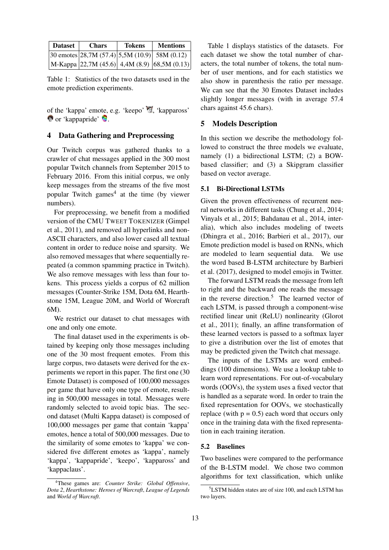| <b>Dataset</b> | <b>Chars</b> | <b>Tokens</b> | <b>Mentions</b>                                           |
|----------------|--------------|---------------|-----------------------------------------------------------|
|                |              |               | $ 30 \text{ embeds} 28,7M (57.4) 5,5M (10.9) 58M (0.12) $ |
|                |              |               | M-Kappa 22,7M (45.6) 4,4M (8.9) [68,5M (0.13)]            |

Table 1: Statistics of the two datasets used in the emote prediction experiments.

of the 'kappa' emote, e.g. 'keepo' , 'kappaross'  $\bullet$  or 'kappapride'  $\bullet$ .

### 4 Data Gathering and Preprocessing

Our Twitch corpus was gathered thanks to a crawler of chat messages applied in the 300 most popular Twitch channels from September 2015 to February 2016. From this initial corpus, we only keep messages from the streams of the five most popular Twitch games<sup>4</sup> at the time (by viewer numbers).

For preprocessing, we benefit from a modified version of the CMU TWEET TOKENIZER (Gimpel et al., 2011), and removed all hyperlinks and non-ASCII characters, and also lower cased all textual content in order to reduce noise and sparsity. We also removed messages that where sequentially repeated (a common spamming practice in Twitch). We also remove messages with less than four tokens. This process yields a corpus of 62 million messages (Counter-Strike 15M, Dota 6M, Hearthstone 15M, League 20M, and World of Worcraft 6M).

We restrict our dataset to chat messages with one and only one emote.

The final dataset used in the experiments is obtained by keeping only those messages including one of the 30 most frequent emotes. From this large corpus, two datasets were derived for the experiments we report in this paper. The first one (30 Emote Dataset) is composed of 100,000 messages per game that have only one type of emote, resulting in 500,000 messages in total. Messages were randomly selected to avoid topic bias. The second dataset (Multi Kappa dataset) is composed of 100,000 messages per game that contain 'kappa' emotes, hence a total of 500,000 messages. Due to the similarity of some emotes to 'kappa' we considered five different emotes as 'kappa', namely 'kappa', 'kappapride', 'keepo', 'kappaross' and 'kappaclaus'.

Table 1 displays statistics of the datasets. For each dataset we show the total number of characters, the total number of tokens, the total number of user mentions, and for each statistics we also show in parenthesis the ratio per message. We can see that the 30 Emotes Dataset includes slightly longer messages (with in average 57.4 chars against 45.6 chars).

#### 5 Models Description

In this section we describe the methodology followed to construct the three models we evaluate, namely (1) a bidirectional LSTM; (2) a BOWbased classifier; and (3) a Skipgram classifier based on vector average.

#### 5.1 Bi-Directional LSTMs

Given the proven effectiveness of recurrent neural networks in different tasks (Chung et al., 2014; Vinyals et al., 2015; Bahdanau et al., 2014, interalia), which also includes modeling of tweets (Dhingra et al., 2016; Barbieri et al., 2017), our Emote prediction model is based on RNNs, which are modeled to learn sequential data. We use the word based B-LSTM architecture by Barbieri et al. (2017), designed to model emojis in Twitter.

The forward LSTM reads the message from left to right and the backward one reads the message in the reverse direction.<sup>5</sup> The learned vector of each LSTM, is passed through a component-wise rectified linear unit (ReLU) nonlinearity (Glorot et al., 2011); finally, an affine transformation of these learned vectors is passed to a softmax layer to give a distribution over the list of emotes that may be predicted given the Twitch chat message.

The inputs of the LSTMs are word embeddings (100 dimensions). We use a lookup table to learn word representations. For out-of-vocabulary words (OOVs), the system uses a fixed vector that is handled as a separate word. In order to train the fixed representation for OOVs, we stochastically replace (with  $p = 0.5$ ) each word that occurs only once in the training data with the fixed representation in each training iteration.

#### 5.2 Baselines

Two baselines were compared to the performance of the B-LSTM model. We chose two common algorithms for text classification, which unlike

<sup>4</sup>These games are: *Counter Strike: Global Offensive*, *Dota 2*, *Hearthstone: Heroes of Warcraft*, *League of Legends* and *World of Warcraft*.

<sup>5</sup>LSTM hidden states are of size 100, and each LSTM has two layers.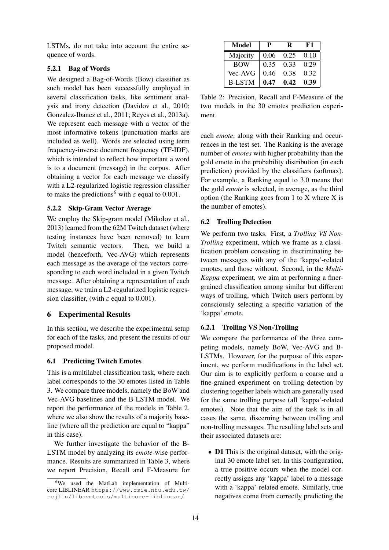LSTMs, do not take into account the entire sequence of words.

# 5.2.1 Bag of Words

We designed a Bag-of-Words (Bow) classifier as such model has been successfully employed in several classification tasks, like sentiment analysis and irony detection (Davidov et al., 2010; Gonzalez-Ibanez et al., 2011; Reyes et al., 2013a). We represent each message with a vector of the most informative tokens (punctuation marks are included as well). Words are selected using term frequency-inverse document frequency (TF-IDF), which is intended to reflect how important a word is to a document (message) in the corpus. After obtaining a vector for each message we classify with a L2-regularized logistic regression classifier to make the predictions<sup>6</sup> with  $\varepsilon$  equal to 0.001.

## 5.2.2 Skip-Gram Vector Average

We employ the Skip-gram model (Mikolov et al., 2013) learned from the 62M Twitch dataset (where testing instances have been removed) to learn Twitch semantic vectors. Then, we build a model (henceforth, Vec-AVG) which represents each message as the average of the vectors corresponding to each word included in a given Twitch message. After obtaining a representation of each message, we train a L2-regularized logistic regression classifier, (with  $\varepsilon$  equal to 0.001).

# 6 Experimental Results

In this section, we describe the experimental setup for each of the tasks, and present the results of our proposed model.

# 6.1 Predicting Twitch Emotes

This is a multilabel classification task, where each label corresponds to the 30 emotes listed in Table 3. We compare three models, namely the BoW and Vec-AVG baselines and the B-LSTM model. We report the performance of the models in Table 2, where we also show the results of a majority baseline (where all the prediction are equal to "kappa" in this case).

We further investigate the behavior of the B-LSTM model by analyzing its *emote*-wise performance. Results are summarized in Table 3, where we report Precision, Recall and F-Measure for

| <b>Model</b>  | P    | R    | F1   |
|---------------|------|------|------|
| Majority      | 0.06 | 0.25 | 0.10 |
| <b>BOW</b>    | 0.35 | 0.33 | 0.29 |
| Vec-AVG       | 0.46 | 0.38 | 0.32 |
| <b>B-LSTM</b> | 0.47 | 0.42 | 0.39 |

Table 2: Precision, Recall and F-Measure of the two models in the 30 emotes prediction experiment.

each *emote*, along with their Ranking and occurrences in the test set. The Ranking is the average number of *emotes* with higher probability than the gold emote in the probability distribution (in each prediction) provided by the classifiers (softmax). For example, a Ranking equal to 3.0 means that the gold *emote* is selected, in average, as the third option (the Ranking goes from 1 to X where X is the number of emotes).

# 6.2 Trolling Detection

We perform two tasks. First, a *Trolling VS Non-Trolling* experiment, which we frame as a classification problem consisting in discriminating between messages with any of the 'kappa'-related emotes, and those without. Second, in the *Multi-Kappa* experiment, we aim at performing a finergrained classification among similar but different ways of trolling, which Twitch users perform by consciously selecting a specific variation of the 'kappa' emote.

# 6.2.1 Trolling VS Non-Trolling

We compare the performance of the three competing models, namely BoW, Vec-AVG and B-LSTMs. However, for the purpose of this experiment, we perform modifications in the label set. Our aim is to explicitly perform a coarse and a fine-grained experiment on trolling detection by clustering together labels which are generally used for the same trolling purpose (all 'kappa'-related emotes). Note that the aim of the task is in all cases the same, discerning between trolling and non-trolling messages. The resulting label sets and their associated datasets are:

• **D1** This is the original dataset, with the original 30 emote label set. In this configuration, a true positive occurs when the model correctly assigns any 'kappa' label to a message with a 'kappa'-related emote. Similarly, true negatives come from correctly predicting the

<sup>&</sup>lt;sup>6</sup>We used the MatLab implementation of Multicore LIBLINEAR https://www.csie.ntu.edu.tw/ ˜cjlin/libsvmtools/multicore-liblinear/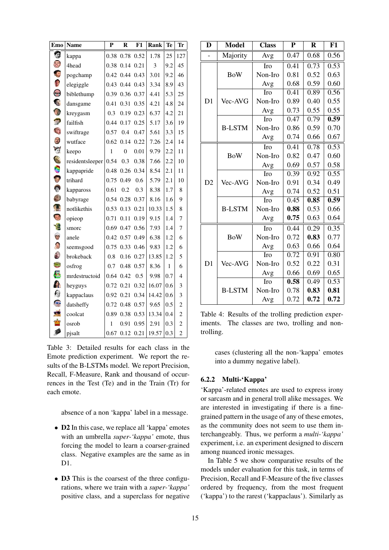| <b>Emo</b>                 | <b>Name</b>     | P    | $\bf{R}$       | F1        | Rank  | <b>Te</b> | Tr                      |
|----------------------------|-----------------|------|----------------|-----------|-------|-----------|-------------------------|
| g                          | kappa           | 0.38 |                | 0.78 0.52 | 1.78  | 25        | 127                     |
| $\mathbb{C}^2$             | 4head           | 0.38 |                | 0.14 0.21 | 3     | 9.2       | 45                      |
|                            | pogchamp        |      | 0.42 0.44 0.43 |           | 3.01  | 9.2       | 46                      |
| $\mathbb{C}^3$             | elegiggle       |      | 0.43 0.44 0.43 |           | 3.34  | 8.9       | 43                      |
| $\odot$                    | biblethump      | 0.39 |                | 0.36 0.37 | 4.41  | 5.3       | 25                      |
| R                          | dansgame        | 0.41 | 0.31           | 0.35      | 4.21  | 4.8       | 24                      |
|                            | kreygasm        | 0.3  | 0.19           | 0.23      | 6.37  | 4.2       | 21                      |
|                            | failfish        |      | 0.44 0.17 0.25 |           | 5.17  | 3.6       | 19                      |
|                            | swiftrage       | 0.57 | 0.4            | 0.47      | 5.61  | 3.3       | 15                      |
| 3                          | wutface         |      | $0.62$ 0.14    | 0.22      | 7.26  | 2.4       | 14                      |
| W                          | keepo           | 1    | $\overline{0}$ | 0.01      | 9.79  | 2.2       | 11                      |
| PE                         | residentsleeper | 0.54 | 0.3            | 0.38      | 7.66  | 2.2       | 10                      |
| Ċ                          | kappapride      | 0.48 | 0.26           | 0.34      | 8.54  | 2.1       | 11                      |
| D                          | trihard         | 0.75 | 0.49           | 0.6       | 5.79  | 2.1       | 10                      |
| $\ddot{\odot}$             | kappaross       | 0.61 | 0.2            | 0.3       | 8.38  | 1.7       | 8                       |
|                            | babyrage        | 0.54 | 0.28           | 0.37      | 8.16  | 1.6       | 9                       |
| T.                         | notlikethis     | 0.53 | 0.13           | 0.21      | 10.33 | 1.5       | 8                       |
| B                          | opieop          | 0.71 | 0.11           | 0.19      | 9.15  | 1.4       | 7                       |
|                            | smorc           | 0.69 | 0.47           | 0.56      | 7.93  | 1.4       | $\tau$                  |
| O                          | anele           |      | 0.42 0.57      | 0.49      | 6.38  | 1.2       | 6                       |
| <b>CE</b>                  | seemsgood       | 0.75 | 0.33           | 0.46      | 9.83  | 1.2       | 6                       |
| $\left(\frac{1}{2}\right)$ | brokeback       | 0.8  | 0.16           | 0.27      | 13.85 | 1.2       | 5                       |
| $\mathbb{Z}^2$             | osfrog          | 0.7  |                | 0.48 0.57 | 8.36  | 1         | 6                       |
| <b>Let</b>                 | mrdestructoid   | 0.64 | 0.42           | 0.5       | 9.98  | 0.7       | $\overline{\mathbf{4}}$ |
| 全                          | heyguys         |      | 0.72 0.21      | 0.32      | 16.07 | 0.6       | 3                       |
| €                          | kappaclaus      | 0.92 | 0.21           | 0.34      | 14.42 | 0.6       | 3                       |
|                            | datsheffy       | 0.72 | 0.48           | 0.57      | 9.65  | 0.5       | $\overline{c}$          |
| ø,                         | coolcat         | 0.89 | 0.38           | 0.53      | 13.34 | 0.4       | $\overline{c}$          |
|                            | osrob           | 1    | 0.91           | 0.95      | 2.91  | 0.3       | $\overline{c}$          |
| P                          | pjsalt          | 0.67 | 0.12           | 0.21      | 19.57 | 0.3       | $\overline{c}$          |

Table 3: Detailed results for each class in the Emote prediction experiment. We report the results of the B-LSTMs model. We report Precision, Recall, F-Measure, Rank and thousand of occurrences in the Test (Te) and in the Train (Tr) for each emote.

absence of a non 'kappa' label in a message.

- D2 In this case, we replace all 'kappa' emotes with an umbrella *super-'kappa'* emote, thus forcing the model to learn a coarser-grained class. Negative examples are the same as in  $D1$
- **D3** This is the coarsest of the three configurations, where we train with a *super-'kappa'* positive class, and a superclass for negative

| D              | <b>Model</b>  | <b>Class</b> | ${\bf P}$ | $\bf R$ | F1   |
|----------------|---------------|--------------|-----------|---------|------|
| $\overline{a}$ | Majority      | Avg          | 0.47      | 0.68    | 0.56 |
|                |               | Iro          | 0.41      | 0.73    | 0.53 |
|                | <b>BoW</b>    | Non-Iro      | 0.81      | 0.52    | 0.63 |
|                |               | Avg          | 0.68      | 0.59    | 0.60 |
|                |               | Iro          | 0.41      | 0.89    | 0.56 |
| D <sub>1</sub> | Vec-AVG       | Non-Iro      | 0.89      | 0.40    | 0.55 |
|                |               | Avg          | 0.73      | 0.55    | 0.55 |
|                |               | Iro          | 0.47      | 0.79    | 0.59 |
|                | <b>B-LSTM</b> | Non-Iro      | 0.86      | 0.59    | 0.70 |
|                |               | Avg          | 0.74      | 0.66    | 0.67 |
|                |               | Iro          | 0.41      | 0.78    | 0.53 |
|                | <b>BoW</b>    | Non-Iro      | 0.82      | 0.47    | 0.60 |
|                |               | Avg          | 0.69      | 0.57    | 0.58 |
|                |               | Iro          | 0.39      | 0.92    | 0.55 |
| D2             | Vec-AVG       | Non-Iro      | 0.91      | 0.34    | 0.49 |
|                |               | Avg          | 0.74      | 0.52    | 0.51 |
|                |               | Iro          | 0.45      | 0.85    | 0.59 |
|                | <b>B-LSTM</b> | Non-Iro      | 0.88      | 0.53    | 0.66 |
|                |               | Avg          | 0.75      | 0.63    | 0.64 |
|                |               | Iro          | 0.44      | 0.29    | 0.35 |
|                | <b>BoW</b>    | Non-Iro      | 0.72      | 0.83    | 0.77 |
|                |               | Avg          | 0.63      | 0.66    | 0.64 |
|                |               | Iro          | 0.72      | 0.91    | 0.80 |
| D <sub>1</sub> | Vec-AVG       | Non-Iro      | 0.52      | 0.22    | 0.31 |
|                |               | Avg          | 0.66      | 0.69    | 0.65 |
|                |               | Iro          | 0.58      | 0.49    | 0.53 |
|                | <b>B-LSTM</b> | Non-Iro      | 0.78      | 0.83    | 0.81 |
|                |               | Avg          | 0.72      | 0.72    | 0.72 |

Table 4: Results of the trolling prediction experiments. The classes are two, trolling and nontrolling.

cases (clustering all the non-'kappa' emotes into a dummy negative label).

#### 6.2.2 Multi-'Kappa'

'Kappa'-related emotes are used to express irony or sarcasm and in general troll alike messages. We are interested in investigating if there is a finegrained pattern in the usage of any of these emotes, as the community does not seem to use them interchangeably. Thus, we perform a *multi-'kappa'* experiment, i.e. an experiment designed to discern among nuanced ironic messages.

In Table 5 we show comparative results of the models under evaluation for this task, in terms of Precision, Recall and F-Measure of the five classes ordered by frequency, from the most frequent ('kappa') to the rarest ('kappaclaus'). Similarly as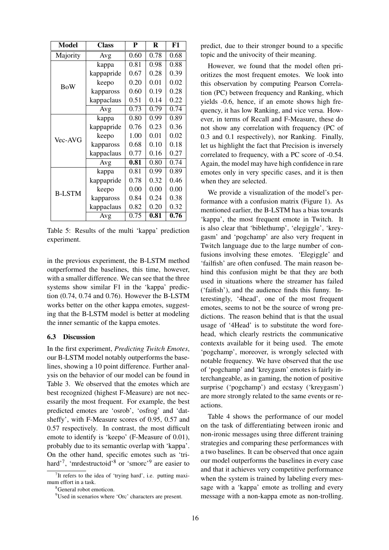| <b>Model</b>  | <b>Class</b> | P    | $\bf R$ | F1   |
|---------------|--------------|------|---------|------|
| Majority      | Avg          | 0.60 | 0.78    | 0.68 |
|               | kappa        | 0.81 | 0.98    | 0.88 |
|               | kappapride   | 0.67 | 0.28    | 0.39 |
| <b>BoW</b>    | keepo        | 0.20 | 0.01    | 0.02 |
|               | kappaross    | 0.60 | 0.19    | 0.28 |
|               | kappaclaus   | 0.51 | 0.14    | 0.22 |
|               | Avg          | 0.73 | 0.79    | 0.74 |
|               | kappa        | 0.80 | 0.99    | 0.89 |
|               | kappapride   | 0.76 | 0.23    | 0.36 |
| Vec-AVG       | keepo        | 1.00 | 0.01    | 0.02 |
|               | kappaross    | 0.68 | 0.10    | 0.18 |
|               | kappaclaus   | 0.77 | 0.16    | 0.27 |
|               | Avg          | 0.81 | 0.80    | 0.74 |
|               | kappa        | 0.81 | 0.99    | 0.89 |
|               | kappapride   | 0.78 | 0.32    | 0.46 |
| <b>B-LSTM</b> | keepo        | 0.00 | 0.00    | 0.00 |
|               | kappaross    | 0.84 | 0.24    | 0.38 |
|               | kappaclaus   | 0.82 | 0.20    | 0.32 |
|               | Avg          | 0.75 | 0.81    | 0.76 |

Table 5: Results of the multi 'kappa' prediction experiment.

in the previous experiment, the B-LSTM method outperformed the baselines, this time, however, with a smaller difference. We can see that the three systems show similar F1 in the 'kappa' prediction (0.74, 0.74 and 0.76). However the B-LSTM works better on the other kappa emotes, suggesting that the B-LSTM model is better at modeling the inner semantic of the kappa emotes.

#### 6.3 Discussion

In the first experiment, *Predicting Twitch Emotes*, our B-LSTM model notably outperforms the baselines, showing a 10 point difference. Further analysis on the behavior of our model can be found in Table 3. We observed that the emotes which are best recognized (highest F-Measure) are not necessarily the most frequent. For example, the best predicted emotes are 'osrob', 'osfrog' and 'datsheffy', with F-Measure scores of 0.95, 0.57 and 0.57 respectively. In contrast, the most difficult emote to identify is 'keepo' (F-Measure of 0.01), probably due to its semantic overlap with 'kappa'. On the other hand, specific emotes such as 'trihard'<sup>7</sup>, 'mrdestructoid'<sup>8</sup> or 'smorc'<sup>9</sup> are easier to

predict, due to their stronger bound to a specific topic and the univocity of their meaning.

However, we found that the model often prioritizes the most frequent emotes. We look into this observation by computing Pearson Correlation (PC) between frequency and Ranking, which yields -0.6, hence, if an emote shows high frequency, it has low Ranking, and vice versa. However, in terms of Recall and F-Measure, these do not show any correlation with frequency (PC of 0.3 and 0.1 respectively), nor Ranking. Finally, let us highlight the fact that Precision is inversely correlated to frequency, with a PC score of -0.54. Again, the model may have high confidence in rare emotes only in very specific cases, and it is then when they are selected.

We provide a visualization of the model's performance with a confusion matrix (Figure 1). As mentioned earlier, the B-LSTM has a bias towards 'kappa', the most frequent emote in Twitch. It is also clear that 'biblethump', 'elegiggle', 'kreygasm' and 'pogchamp' are also very frequent in Twitch language due to the large number of confusions involving these emotes. 'Elegiggle' and 'failfish' are often confused. The main reason behind this confusion might be that they are both used in situations where the streamer has failed ('faifish'), and the audience finds this funny. Interestingly, '4head', one of the most frequent emotes, seems to not be the source of wrong predictions. The reason behind that is that the usual usage of '4Head' is to substitute the word forehead, which clearly restricts the communicative contexts available for it being used. The emote 'pogchamp', moreover, is wrongly selected with notable frequency. We have observed that the use of 'pogchamp' and 'kreygasm' emotes is fairly interchangeable, as in gaming, the notion of positive surprise ('pogchamp') and ecstasy ('kreygasm') are more strongly related to the same events or reactions.

Table 4 shows the performance of our model on the task of differentiating between ironic and non-ironic messages using three different training strategies and comparing these performances with a two baselines. It can be observed that once again our model outperforms the baselines in every case and that it achieves very competitive performance when the system is trained by labeling every message with a 'kappa' emote as trolling and every message with a non-kappa emote as non-trolling.

<sup>&</sup>lt;sup>7</sup>It refers to the idea of 'trying hard', i.e. putting maximum effort in a task.

<sup>8</sup>General robot emoticon.

<sup>9</sup>Used in scenarios where 'Orc' characters are present.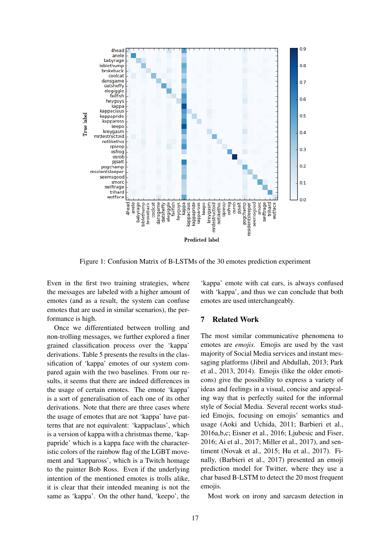

Figure 1: Confusion Matrix of B-LSTMs of the 30 emotes prediction experiment

Even in the first two training strategies, where the messages are labeled with a higher amount of emotes (and as a result, the system can confuse emotes that are used in similar scenarios), the performance is high.

Once we differentiated between trolling and non-trolling messages, we further explored a finer grained classification process over the 'kappa' derivations. Table 5 presents the results in the classification of 'kappa' emotes of our system compared again with the two baselines. From our results, it seems that there are indeed differences in the usage of certain emotes. The emote 'kappa' is a sort of generalisation of each one of its other derivations. Note that there are three cases where the usage of emotes that are not 'kappa' have patterns that are not equivalent: 'kappaclaus', which is a version of kappa with a christmas theme, 'kappapride' which is a kappa face with the characteristic colors of the rainbow flag of the LGBT movement and 'kappaross', which is a Twitch homage to the painter Bob Ross. Even if the underlying intention of the mentioned emotes is trolls alike, it is clear that their intended meaning is not the same as 'kappa'. On the other hand, 'keepo', the

'kappa' emote with cat ears, is always confused with 'kappa', and thus we can conclude that both emotes are used interchangeably.

#### 7 Related Work

The most similar communicative phenomena to emotes are *emojis*. Emojis are used by the vast majority of Social Media services and instant messaging platforms (Jibril and Abdullah, 2013; Park et al., 2013, 2014). Emojis (like the older emoticons) give the possibility to express a variety of ideas and feelings in a visual, concise and appealing way that is perfectly suited for the informal style of Social Media. Several recent works studied Emojis, focusing on emojis' semantics and usage (Aoki and Uchida, 2011; Barbieri et al., 2016a,b,c; Eisner et al., 2016; Ljubesic and Fiser, 2016; Ai et al., 2017; Miller et al., 2017), and sentiment (Novak et al., 2015; Hu et al., 2017). Finally, (Barbieri et al., 2017) presented an emoji prediction model for Twitter, where they use a char based B-LSTM to detect the 20 most frequent emojis.

Most work on irony and sarcasm detection in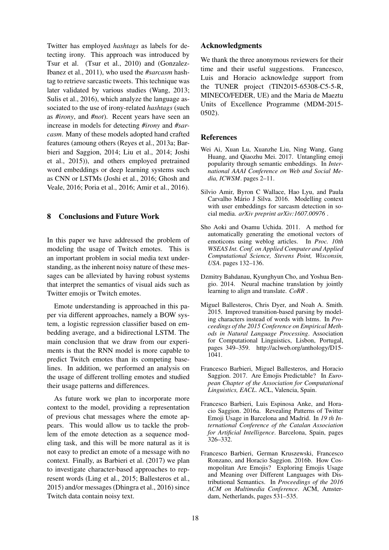Twitter has employed *hashtags* as labels for detecting irony. This approach was introduced by Tsur et al. (Tsur et al., 2010) and (Gonzalez-Ibanez et al., 2011), who used the *#sarcasm* hashtag to retrieve sarcastic tweets. This technique was later validated by various studies (Wang, 2013; Sulis et al., 2016), which analyze the language associated to the use of irony-related *hashtags* (such as *#irony*, and *#not*). Recent years have seen an increase in models for detecting *#irony* and *#sarcasm*. Many of these models adopted hand crafted features (amoung others (Reyes et al., 2013a; Barbieri and Saggion, 2014; Liu et al., 2014; Joshi et al., 2015)), and others employed pretrained word embeddings or deep learning systems such as CNN or LSTMs (Joshi et al., 2016; Ghosh and Veale, 2016; Poria et al., 2016; Amir et al., 2016).

## 8 Conclusions and Future Work

In this paper we have addressed the problem of modeling the usage of Twitch emotes. This is an important problem in social media text understanding, as the inherent noisy nature of these messages can be alleviated by having robust systems that interpret the semantics of visual aids such as Twitter emojis or Twitch emotes.

Emote understanding is approached in this paper via different approaches, namely a BOW system, a logistic regression classifier based on embedding average, and a bidirectional LSTM. The main conclusion that we draw from our experiments is that the RNN model is more capable to predict Twitch emotes than its competing baselines. In addition, we performed an analysis on the usage of different trolling emotes and studied their usage patterns and differences.

As future work we plan to incorporate more context to the model, providing a representation of previous chat messages where the emote appears. This would allow us to tackle the problem of the emote detection as a sequence modeling task, and this will be more natural as it is not easy to predict an emote of a message with no context. Finally, as Barbieri et al. (2017) we plan to investigate character-based approaches to represent words (Ling et al., 2015; Ballesteros et al., 2015) and/or messages (Dhingra et al., 2016) since Twitch data contain noisy text.

#### Acknowledgments

We thank the three anonymous reviewers for their time and their useful suggestions. Francesco, Luis and Horacio acknowledge support from the TUNER project (TIN2015-65308-C5-5-R, MINECO/FEDER, UE) and the Maria de Maeztu Units of Excellence Programme (MDM-2015- 0502).

### References

- Wei Ai, Xuan Lu, Xuanzhe Liu, Ning Wang, Gang Huang, and Qiaozhu Mei. 2017. Untangling emoji popularity through semantic embeddings. In *International AAAI Conference on Web and Social Media, ICWSM*. pages 2–11.
- Silvio Amir, Byron C Wallace, Hao Lyu, and Paula Carvalho Mário J Silva. 2016. Modelling context with user embeddings for sarcasm detection in social media. *arXiv preprint arXiv:1607.00976* .
- Sho Aoki and Osamu Uchida. 2011. A method for automatically generating the emotional vectors of emoticons using weblog articles. In *Proc. 10th WSEAS Int. Conf. on Applied Computer and Applied Computational Science, Stevens Point, Wisconsin, USA*. pages 132–136.
- Dzmitry Bahdanau, Kyunghyun Cho, and Yoshua Bengio. 2014. Neural machine translation by jointly learning to align and translate. *CoRR* .
- Miguel Ballesteros, Chris Dyer, and Noah A. Smith. 2015. Improved transition-based parsing by modeling characters instead of words with lstms. In *Proceedings of the 2015 Conference on Empirical Methods in Natural Language Processing*. Association for Computational Linguistics, Lisbon, Portugal, pages 349–359. http://aclweb.org/anthology/D15- 1041.
- Francesco Barbieri, Miguel Ballesteros, and Horacio Saggion. 2017. Are Emojis Predictable? In *European Chapter of the Association for Computational Linguistics, EACL*. ACL, Valencia, Spain.
- Francesco Barbieri, Luis Espinosa Anke, and Horacio Saggion. 2016a. Revealing Patterns of Twitter Emoji Usage in Barcelona and Madrid. In *19 th International Conference of the Catalan Association for Artificial Intelligence*. Barcelona, Spain, pages 326–332.
- Francesco Barbieri, German Kruszewski, Francesco Ronzano, and Horacio Saggion. 2016b. How Cosmopolitan Are Emojis? Exploring Emojis Usage and Meaning over Different Languages with Distributional Semantics. In *Proceedings of the 2016 ACM on Multimedia Conference*. ACM, Amsterdam, Netherlands, pages 531–535.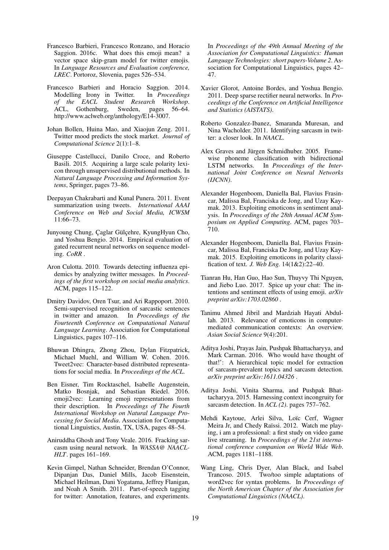- Francesco Barbieri, Francesco Ronzano, and Horacio Saggion. 2016c. What does this emoji mean? a vector space skip-gram model for twitter emojis. In *Language Resources and Evaluation conference, LREC*. Portoroz, Slovenia, pages 526–534.
- Francesco Barbieri and Horacio Saggion. 2014. Modelling Irony in Twitter. In *Proceedings of the EACL Student Research Workshop*. ACL, Gothenburg, Sweden, pages 56–64. http://www.aclweb.org/anthology/E14-3007.
- Johan Bollen, Huina Mao, and Xiaojun Zeng. 2011. Twitter mood predicts the stock market. *Journal of Computational Science* 2(1):1–8.
- Giuseppe Castellucci, Danilo Croce, and Roberto Basili. 2015. Acquiring a large scale polarity lexicon through unsupervised distributional methods. In *Natural Language Processing and Information Systems*, Springer, pages 73–86.
- Deepayan Chakrabarti and Kunal Punera. 2011. Event summarization using tweets. *International AAAI Conference on Web and Social Media, ICWSM* 11:66–73.
- Junyoung Chung, Çaglar Gülçehre, KyungHyun Cho, and Yoshua Bengio. 2014. Empirical evaluation of gated recurrent neural networks on sequence modeling. *CoRR* .
- Aron Culotta. 2010. Towards detecting influenza epidemics by analyzing twitter messages. In *Proceedings of the first workshop on social media analytics*. ACM, pages 115–122.
- Dmitry Davidov, Oren Tsur, and Ari Rappoport. 2010. Semi-supervised recognition of sarcastic sentences in twitter and amazon. In *Proceedings of the Fourteenth Conference on Computational Natural Language Learning*. Association for Computational Linguistics, pages 107–116.
- Bhuwan Dhingra, Zhong Zhou, Dylan Fitzpatrick, Michael Muehl, and William W. Cohen. 2016. Tweet2vec: Character-based distributed representations for social media. In *Proceedings of the ACL*.
- Ben Eisner, Tim Rocktaschel, Isabelle Augenstein, Matko Bosnjak, and Sebastian Riedel. 2016. emoji2vec: Learning emoji representations from their description. In *Proceedings of The Fourth International Workshop on Natural Language Processing for Social Media*. Association for Computational Linguistics, Austin, TX, USA, pages 48–54.
- Aniruddha Ghosh and Tony Veale. 2016. Fracking sarcasm using neural network. In *WASSA@ NAACL-HLT*. pages 161–169.
- Kevin Gimpel, Nathan Schneider, Brendan O'Connor, Dipanjan Das, Daniel Mills, Jacob Eisenstein, Michael Heilman, Dani Yogatama, Jeffrey Flanigan, and Noah A Smith. 2011. Part-of-speech tagging for twitter: Annotation, features, and experiments.

In *Proceedings of the 49th Annual Meeting of the Association for Computational Linguistics: Human Language Technologies: short papers-Volume 2*. Association for Computational Linguistics, pages 42– 47.

- Xavier Glorot, Antoine Bordes, and Yoshua Bengio. 2011. Deep sparse rectifier neural networks. In *Proceedings of the Conference on Artificial Intelligence and Statistics (AISTATS)*.
- Roberto Gonzalez-Ibanez, Smaranda Muresan, and Nina Wacholder. 2011. Identifying sarcasm in twitter: a closer look. In *NAACL*.
- Alex Graves and Jürgen Schmidhuber. 2005. Framewise phoneme classification with bidirectional LSTM networks. In *Proceedings of the International Joint Conference on Neural Networks (IJCNN)*.
- Alexander Hogenboom, Daniella Bal, Flavius Frasincar, Malissa Bal, Franciska de Jong, and Uzay Kaymak. 2013. Exploiting emoticons in sentiment analysis. In *Proceedings of the 28th Annual ACM Symposium on Applied Computing*. ACM, pages 703– 710.
- Alexander Hogenboom, Daniella Bal, Flavius Frasincar, Malissa Bal, Franciska De Jong, and Uzay Kaymak. 2015. Exploiting emoticons in polarity classification of text. *J. Web Eng.* 14(1&2):22–40.
- Tianran Hu, Han Guo, Hao Sun, Thuyvy Thi Nguyen, and Jiebo Luo. 2017. Spice up your chat: The intentions and sentiment effects of using emoji. *arXiv preprint arXiv:1703.02860* .
- Tanimu Ahmed Jibril and Mardziah Hayati Abdullah. 2013. Relevance of emoticons in computermediated communication contexts: An overview. *Asian Social Science* 9(4):201.
- Aditya Joshi, Prayas Jain, Pushpak Bhattacharyya, and Mark Carman. 2016. Who would have thought of that!': A hierarchical topic model for extraction of sarcasm-prevalent topics and sarcasm detection. *arXiv preprint arXiv:1611.04326* .
- Aditya Joshi, Vinita Sharma, and Pushpak Bhattacharyya. 2015. Harnessing context incongruity for sarcasm detection. In *ACL (2)*. pages 757–762.
- Mehdi Kaytoue, Arlei Silva, Loïc Cerf, Wagner Meira Jr, and Chedy Raïssi. 2012. Watch me playing, i am a professional: a first study on video game live streaming. In *Proceedings of the 21st international conference companion on World Wide Web*. ACM, pages 1181–1188.
- Wang Ling, Chris Dyer, Alan Black, and Isabel Trancoso. 2015. Two/too simple adaptations of word2vec for syntax problems. In *Proceedings of the North American Chapter of the Association for Computational Linguistics (NAACL)*.